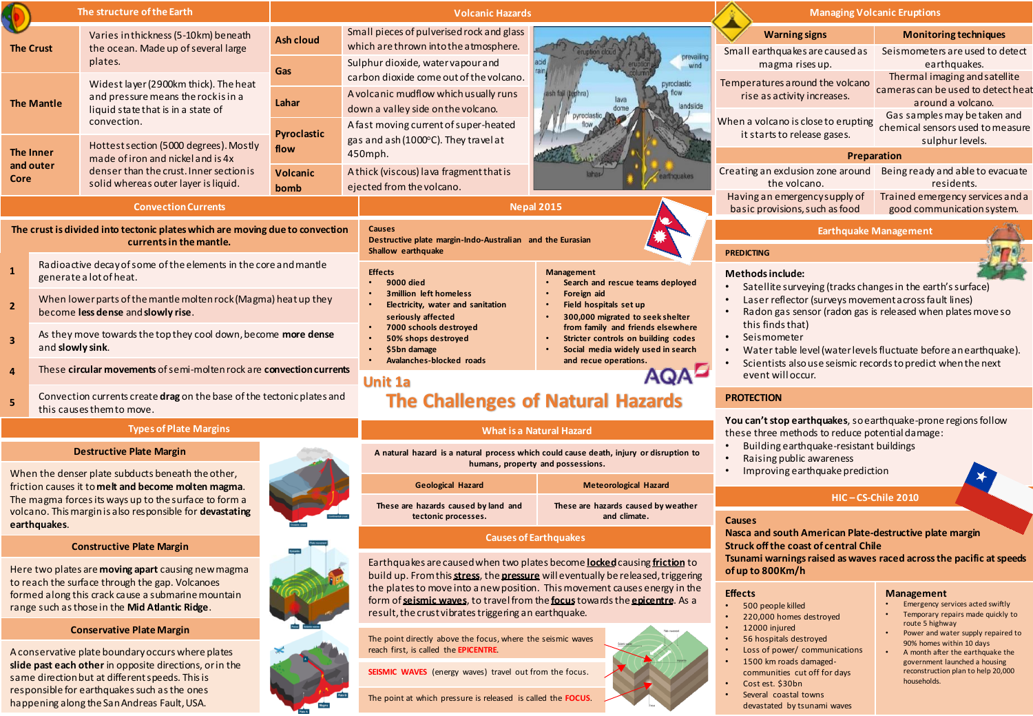| The structure of the Earth                                                                              |                                                                                                       |                                                                                                                                                                |                                                                                                             | <b>Volcanic Hazards</b>                                                                                             |                                                                                                                                         | <b>Managing Volcanic Eruptions</b>                                                                                                                                               |                                                                    |                                                                                          |
|---------------------------------------------------------------------------------------------------------|-------------------------------------------------------------------------------------------------------|----------------------------------------------------------------------------------------------------------------------------------------------------------------|-------------------------------------------------------------------------------------------------------------|---------------------------------------------------------------------------------------------------------------------|-----------------------------------------------------------------------------------------------------------------------------------------|----------------------------------------------------------------------------------------------------------------------------------------------------------------------------------|--------------------------------------------------------------------|------------------------------------------------------------------------------------------|
|                                                                                                         | <b>The Crust</b>                                                                                      | Varies in thickness (5-10km) beneath<br>the ocean. Made up of several large                                                                                    | <b>Ash cloud</b>                                                                                            | Small pieces of pulverised rock and glass<br>which are thrown into the atmosphere.                                  |                                                                                                                                         |                                                                                                                                                                                  | <b>Warning signs</b><br>Small earthquakes are caused as            | <b>Monitoring techniques</b><br>Seismometers are used to detect                          |
|                                                                                                         |                                                                                                       | plates.                                                                                                                                                        | Gas                                                                                                         | Sulphur dioxide, water vapour and                                                                                   | prevailing<br>wind<br>andslide                                                                                                          |                                                                                                                                                                                  | magma rises up.                                                    | earthquakes.                                                                             |
| <b>The Mantle</b>                                                                                       |                                                                                                       | Widest layer (2900km thick). The heat<br>and pressure means the rock is in a<br>liquid state that is in a state of<br>convection.                              | Lahar                                                                                                       | carbon dioxide come out of the volcano.<br>A volcanic mudflow which usually runs                                    |                                                                                                                                         |                                                                                                                                                                                  | Temperatures around the volcano<br>rise as activity increases.     | Thermal imaging and satellite<br>cameras can be used to detect heat<br>around a volcano. |
|                                                                                                         |                                                                                                       |                                                                                                                                                                | Pyroclastic                                                                                                 | down a valley side on the volcano.<br>A fast moving current of super-heated<br>gas and ash (1000°C). They travel at |                                                                                                                                         |                                                                                                                                                                                  | When a volcano is close to erupting<br>it starts to release gases. | Gas samples may be taken and<br>chemical sensors used to measure<br>sulphur levels.      |
| The Inner<br>and outer<br>Core                                                                          |                                                                                                       | Hottest section (5000 degrees). Mostly<br>made of iron and nickel and is 4x<br>denser than the crust. Inner section is<br>solid whereas outer layer is liquid. | flow                                                                                                        | 450mph.                                                                                                             |                                                                                                                                         | Preparation                                                                                                                                                                      |                                                                    |                                                                                          |
|                                                                                                         |                                                                                                       |                                                                                                                                                                | <b>Volcanic</b><br>bomb                                                                                     | A thick (viscous) lava fragment that is<br>ejected from the volcano.                                                |                                                                                                                                         |                                                                                                                                                                                  | Creating an exclusion zone around<br>the volcano.                  | Being ready and able to evacuate<br>residents.                                           |
| <b>Convection Currents</b>                                                                              |                                                                                                       |                                                                                                                                                                |                                                                                                             | <b>Nepal 2015</b>                                                                                                   |                                                                                                                                         |                                                                                                                                                                                  | Having an emergency supply of<br>basic provisions, such as food    | Trained emergency services and a<br>good communication system.                           |
| The crust is divided into tectonic plates which are moving due to convection<br>currents in the mantle. |                                                                                                       |                                                                                                                                                                |                                                                                                             | <b>Causes</b><br>Destructive plate margin-Indo-Australian and the Eurasian                                          |                                                                                                                                         | <b>Earthquake Management</b>                                                                                                                                                     |                                                                    |                                                                                          |
|                                                                                                         |                                                                                                       | Radioactive decay of some of the elements in the core and mantle                                                                                               |                                                                                                             | Shallow earthquake<br><b>Effects</b>                                                                                | Management                                                                                                                              | <b>PREDICTING</b><br><b>Methods include:</b>                                                                                                                                     |                                                                    |                                                                                          |
|                                                                                                         |                                                                                                       | generate a lot of heat.                                                                                                                                        |                                                                                                             | 9000 died<br><b>3million left homeless</b>                                                                          | Search and rescue teams deployed<br>Foreign aid                                                                                         | Satellite surveying (tracks changes in the earth's surface)<br>$\bullet$                                                                                                         |                                                                    |                                                                                          |
| $\overline{2}$                                                                                          | When lower parts of the mantle molten rock (Magma) heat up they<br>become less dense and slowly rise. |                                                                                                                                                                | Electricity, water and sanitation<br>seriously affected                                                     | Field hospitals set up<br>300,000 migrated to seek shelter                                                          | Laser reflector (surveys movement across fault lines)<br>Radon gas sensor (radon gas is released when plates move so                    |                                                                                                                                                                                  |                                                                    |                                                                                          |
| $\overline{\mathbf{3}}$                                                                                 | and slowly sink.                                                                                      | As they move towards the top they cool down, become more dense                                                                                                 | 7000 schools destroyed<br>50% shops destroyed<br>\$5bn damage<br>Avalanches-blocked roads<br><b>Unit 1a</b> |                                                                                                                     | from family and friends elsewhere<br>Stricter controls on building codes<br>Social media widely used in search<br>and recue operations. | this finds that)<br>Seismometer<br>Water table level (water levels fluctuate before an earthquake).<br>$\bullet$<br>Scientists also use seismic records to predict when the next |                                                                    |                                                                                          |
|                                                                                                         |                                                                                                       | These circular movements of semi-molten rock are convection currents                                                                                           |                                                                                                             |                                                                                                                     |                                                                                                                                         |                                                                                                                                                                                  | event will occur.                                                  |                                                                                          |
| Convection currents create drag on the base of the tectonic plates and<br>this causes them to move.     |                                                                                                       | <b>The Challenges of Natural Hazards</b>                                                                                                                       |                                                                                                             | <b>PROTECTION</b>                                                                                                   |                                                                                                                                         |                                                                                                                                                                                  |                                                                    |                                                                                          |

# **Types of Plate Margins**

#### **Destructive Plate Margin**

When the denser plate subducts beneath the other, friction causes it to **melt and become molten magma**. The magma forces its ways up to the surface to form a volcano. This margin is also responsible for **devastating earthquakes**.

## **Constructive Plate Margin**

Here two plates are **moving apart** causing new magma to reach the surface through the gap. Volcanoes formed along this crack cause a submarine mountain range such as those in the **Mid Atlantic Ridge**.

# **Conservative Plate Margin**

A conservative plate boundaryoccurs where plates **slide past each other** in opposite directions, or in the same direction but at different speeds. This is responsible for earthquakes such as the ones happening along the San Andreas Fault, USA.







# **What is a Natural Hazard**

**A natural hazard is a natural process which could cause death, injury or disruption to humans, property and possessions.** 

| <b>Geological Hazard</b>                                    | <b>Meteorological Hazard</b>                        |  |  |
|-------------------------------------------------------------|-----------------------------------------------------|--|--|
| These are hazards caused by land and<br>tectonic processes. | These are hazards caused by weather<br>and climate. |  |  |
|                                                             |                                                     |  |  |

# **Causes of Earthquakes**

Earthquakes are caused when two plates become **locked**causing **friction** to build up. From this **stress**, the **pressure** will eventually be released, triggering the plates to move into a new position. This movement causes energy in the form of **seismic waves**, to travel from the **focus**towards the **epicentre**. As a result, the crust vibrates triggering an earthquake.

The point directly above the focus, where the seismic waves reach first, is called the **EPICENTRE**.

**SEISMIC WAVES** (energy waves) travel out from the focus.

The point at which pressure is released is called the **FOCUS**.

**You can't stop earthquakes**, so earthquake-prone regions follow these three methods to reduce potential damage:

- Building earthquake-resistant buildings
- Raising public awareness
- Improving earthquake prediction

# **HIC – CS-Chile 2010**

# **Causes**

**Nasca and south American Plate-destructive plate margin Struck off the coast of central Chile**

**Tsunami warnings raised as waves raced across the pacific at speeds of up to 800Km/h**

### **Effects**

- 500 people killed
- 220,000 homes destroyed
- 12000 injured
- 56 hospitals destroyed
- Loss of power/ communications
- 1500 km roads damaged
	- communities cut off for days • Cost est. \$30bn
	- Several coastal towns devastated by tsunami waves

## **Management**

- Emergency services acted swiftly
- Temporary repairs made quickly to route 5 highway
- Power and water supply repaired to 90% homes within 10 days
- A month after the earthquake the government launched a housing reconstruction plan to help 20,000 households.